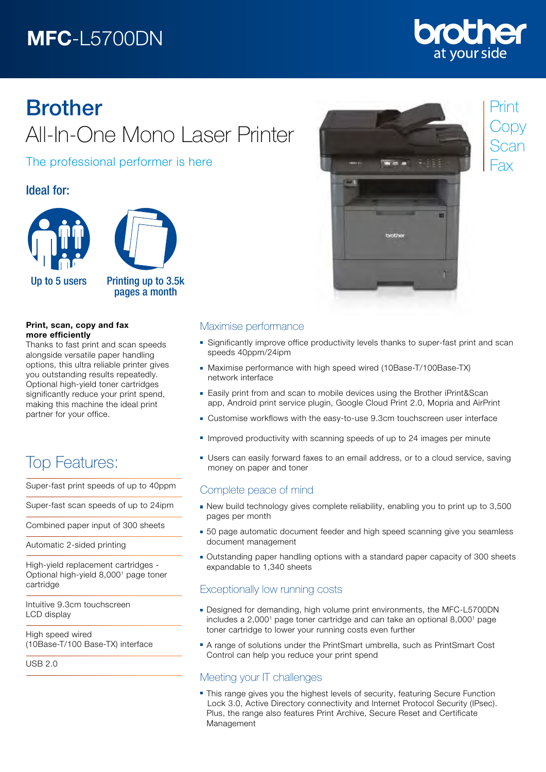# MFC-L5700DN

# **other** at your side

# Brother All-In-One Mono Laser Printer

The professional performer is here

## Ideal for:



#### Print, scan, copy and fax more efficiently

Thanks to fast print and scan speeds alongside versatile paper handling options, this ultra reliable printer gives you outstanding results repeatedly. Optional high-yield toner cartridges significantly reduce your print spend, making this machine the ideal print partner for your office.

# Top Features:

Super-fast print speeds of up to 40ppm

Super-fast scan speeds of up to 24ipm

Combined paper input of 300 sheets

Automatic 2-sided printing

High-yield replacement cartridges - Optional high-yield 8,0001 page toner cartridge

Intuitive 9.3cm touchscreen LCD display

High speed wired (10Base-T/100 Base-TX) interface

USB 2.0



## Print **Copy** Scan Fax

#### Maximise performance

- Significantly improve office productivity levels thanks to super-fast print and scan speeds 40ppm/24ipm
- Maximise performance with high speed wired (10Base-T/100Base-TX) network interface
- Easily print from and scan to mobile devices using the Brother iPrint&Scan app, Android print service plugin, Google Cloud Print 2.0, Mopria and AirPrint
- Customise workflows with the easy-to-use 9.3cm touchscreen user interface
- **Improved productivity with scanning speeds of up to 24 images per minute**
- Users can easily forward faxes to an email address, or to a cloud service, saving money on paper and toner

### Complete peace of mind

- New build technology gives complete reliability, enabling you to print up to 3,500 pages per month
- **50 page automatic document feeder and high speed scanning give you seamless** document management
- Outstanding paper handling options with a standard paper capacity of 300 sheets expandable to 1,340 sheets

### Exceptionally low running costs

- Designed for demanding, high volume print environments, the MFC-L5700DN includes a 2,000<sup>1</sup> page toner cartridge and can take an optional 8,000<sup>1</sup> page toner cartridge to lower your running costs even further
- A range of solutions under the PrintSmart umbrella, such as PrintSmart Cost Control can help you reduce your print spend

## Meeting your IT challenges

• This range gives you the highest levels of security, featuring Secure Function Lock 3.0, Active Directory connectivity and Internet Protocol Security (IPsec). Plus, the range also features Print Archive, Secure Reset and Certificate Management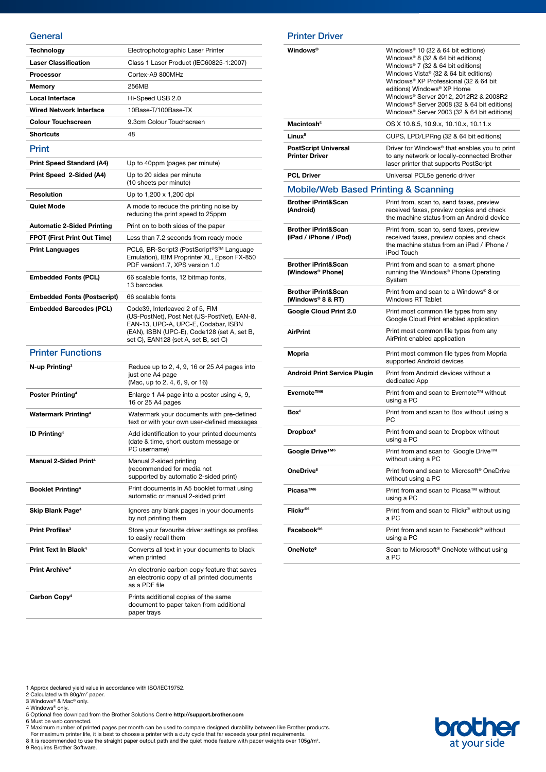#### **General**

| Technology                          | Electrophotographic Laser Printer                                                                                                                                                                            |
|-------------------------------------|--------------------------------------------------------------------------------------------------------------------------------------------------------------------------------------------------------------|
| <b>Laser Classification</b>         | Class 1 Laser Product (IEC60825-1:2007)                                                                                                                                                                      |
| <b>Processor</b>                    | Cortex-A9 800MHz                                                                                                                                                                                             |
| Memory                              | 256MB                                                                                                                                                                                                        |
| <b>Local Interface</b>              | Hi-Speed USB 2.0                                                                                                                                                                                             |
| Wired Network Interface             | 10Base-T/100Base-TX                                                                                                                                                                                          |
| <b>Colour Touchscreen</b>           | 9.3cm Colour Touchscreen                                                                                                                                                                                     |
| <b>Shortcuts</b>                    | 48                                                                                                                                                                                                           |
| Print                               |                                                                                                                                                                                                              |
| Print Speed Standard (A4)           | Up to 40ppm (pages per minute)                                                                                                                                                                               |
| Print Speed 2-Sided (A4)            | Up to 20 sides per minute<br>(10 sheets per minute)                                                                                                                                                          |
| <b>Resolution</b>                   | Up to 1,200 x 1,200 dpi                                                                                                                                                                                      |
| Quiet Mode                          | A mode to reduce the printing noise by<br>reducing the print speed to 25ppm                                                                                                                                  |
| <b>Automatic 2-Sided Printing</b>   | Print on to both sides of the paper                                                                                                                                                                          |
| <b>FPOT (First Print Out Time)</b>  | Less than 7.2 seconds from ready mode                                                                                                                                                                        |
| <b>Print Languages</b>              | PCL6, BR-Script3 (PostScript®3™ Language<br>Emulation), IBM Proprinter XL, Epson FX-850<br>PDF version1.7, XPS version 1.0                                                                                   |
| <b>Embedded Fonts (PCL)</b>         | 66 scalable fonts, 12 bitmap fonts,<br>13 barcodes                                                                                                                                                           |
| <b>Embedded Fonts (Postscript)</b>  | 66 scalable fonts                                                                                                                                                                                            |
| <b>Embedded Barcodes (PCL)</b>      | Code39, Interleaved 2 of 5, FIM<br>(US-PostNet), Post Net (US-PostNet), EAN-8,<br>EAN-13, UPC-A, UPC-E, Codabar, ISBN<br>(EAN), ISBN (UPC-E), Code128 (set A, set B,<br>set C), EAN128 (set A, set B, set C) |
| <b>Printer Functions</b>            |                                                                                                                                                                                                              |
| N-up Printing <sup>3</sup>          | Reduce up to 2, 4, 9, 16 or 25 A4 pages into<br>just one A4 page<br>(Mac, up to 2, 4, 6, 9, or 16)                                                                                                           |
| Poster Printing <sup>4</sup>        | Enlarge 1 A4 page into a poster using 4, 9,<br>16 or 25 A4 pages                                                                                                                                             |
| <b>Watermark Printing4</b>          | Watermark your documents with pre-defined<br>text or with your own user-defined messages                                                                                                                     |
| <b>ID Printing<sup>4</sup></b>      | Add identification to your printed documents<br>(date & time, short custom message or<br>PC username)                                                                                                        |
| <b>Manual 2-Sided Print4</b>        | Manual 2-sided printing<br>(recommended for media not<br>supported by automatic 2-sided print)                                                                                                               |
| <b>Booklet Printing<sup>4</sup></b> | Print documents in A5 booklet format using<br>automatic or manual 2-sided print                                                                                                                              |
| Skip Blank Page <sup>4</sup>        | Ignores any blank pages in your documents<br>by not printing them                                                                                                                                            |
| Print Profiles <sup>3</sup>         | Store your favourite driver settings as profiles<br>to easily recall them                                                                                                                                    |
| Print Text In Black <sup>4</sup>    | Converts all text in your documents to black<br>when printed                                                                                                                                                 |
| Print Archive <sup>4</sup>          | An electronic carbon copy feature that saves<br>an electronic copy of all printed documents<br>as a PDF file                                                                                                 |
| Carbon Copy <sup>4</sup>            | Prints additional copies of the same<br>document to paper taken from additional<br>paper trays                                                                                                               |

| <b>Printer Driver</b> |  |
|-----------------------|--|
|                       |  |

| Windows®                                                       | Windows <sup>®</sup> 10 (32 & 64 bit editions)<br>Windows® 8 (32 & 64 bit editions)<br>Windows® 7 (32 & 64 bit editions)<br>Windows Vista® (32 & 64 bit editions)<br>Windows® XP Professional (32 & 64 bit<br>editions) Windows® XP Home<br>Windows® Server 2012, 2012R2 & 2008R2<br>Windows® Server 2008 (32 & 64 bit editions)<br>Windows® Server 2003 (32 & 64 bit editions) |
|----------------------------------------------------------------|---------------------------------------------------------------------------------------------------------------------------------------------------------------------------------------------------------------------------------------------------------------------------------------------------------------------------------------------------------------------------------|
| Macintosh <sup>5</sup>                                         | OS X 10.8.5, 10.9.x, 10.10.x, 10.11.x                                                                                                                                                                                                                                                                                                                                           |
| Linux <sup>5</sup>                                             | CUPS, LPD/LPRng (32 & 64 bit editions)                                                                                                                                                                                                                                                                                                                                          |
| <b>PostScript Universal</b><br><b>Printer Driver</b>           | Driver for Windows <sup>®</sup> that enables you to print<br>to any network or locally-connected Brother<br>laser printer that supports PostScript                                                                                                                                                                                                                              |
| <b>PCL Driver</b>                                              | Universal PCL5e generic driver                                                                                                                                                                                                                                                                                                                                                  |
| <b>Mobile/Web Based Printing &amp; Scanning</b>                |                                                                                                                                                                                                                                                                                                                                                                                 |
| <b>Brother iPrint&amp;Scan</b><br>(Android)                    | Print from, scan to, send faxes, preview<br>received faxes, preview copies and check<br>the machine status from an Android device                                                                                                                                                                                                                                               |
| <b>Brother iPrint&amp;Scan</b><br>(iPad / iPhone / iPod)       | Print from, scan to, send faxes, preview<br>received faxes, preview copies and check<br>the machine status from an iPad / iPhone /<br>iPod Touch                                                                                                                                                                                                                                |
| <b>Brother iPrint&amp;Scan</b><br>(Windows <sup>®</sup> Phone) | Print from and scan to a smart phone<br>running the Windows® Phone Operating<br>System                                                                                                                                                                                                                                                                                          |
| <b>Brother iPrint&amp;Scan</b><br>(Windows® 8 & RT)            | Print from and scan to a Windows® 8 or<br><b>Windows RT Tablet</b>                                                                                                                                                                                                                                                                                                              |
| Google Cloud Print 2.0                                         | Print most common file types from any<br>Google Cloud Print enabled application                                                                                                                                                                                                                                                                                                 |
| <b>AirPrint</b>                                                | Print most common file types from any<br>AirPrint enabled application                                                                                                                                                                                                                                                                                                           |
| Mopria                                                         | Print most common file types from Mopria<br>supported Android devices                                                                                                                                                                                                                                                                                                           |
| <b>Android Print Service Plugin</b>                            | Print from Android devices without a<br>dedicated App                                                                                                                                                                                                                                                                                                                           |
| Evernote™ <sup>6</sup>                                         | Print from and scan to Evernote™ without<br>using a PC                                                                                                                                                                                                                                                                                                                          |
| Box <sup>6</sup>                                               | Print from and scan to Box without using a<br>PС                                                                                                                                                                                                                                                                                                                                |
| Dropbox <sup>6</sup>                                           | Print from and scan to Dropbox without<br>using a PC                                                                                                                                                                                                                                                                                                                            |
| Google Drive™ <sup>6</sup>                                     | Print from and scan to Google Drive™<br>without using a PC                                                                                                                                                                                                                                                                                                                      |
| OneDrive <sup>6</sup>                                          | Print from and scan to Microsoft <sup>®</sup> OneDrive<br>without using a PC                                                                                                                                                                                                                                                                                                    |
| Picasa™ <sup>6</sup>                                           | Print from and scan to Picasa™ without<br>using a PC                                                                                                                                                                                                                                                                                                                            |
| Flickr®6                                                       | Print from and scan to Flickr® without using<br>a PC                                                                                                                                                                                                                                                                                                                            |
| Facebook®6                                                     | Print from and scan to Facebook <sup>®</sup> without<br>using a PC                                                                                                                                                                                                                                                                                                              |
| OneNote <sup>6</sup>                                           | Scan to Microsoft® OneNote without using<br>a PC                                                                                                                                                                                                                                                                                                                                |

1 Approx declared yield value in accordance with ISO/IEC19752.<br>2 Calculated with 80g/m° paper.<br>3 Windows® & Mac® only.<br>5 Optional free download from the Brother Solutions Centre **http://support.brother.com**<br>5 Optional fre

7 Maximum number of printed pages per month can be used to compare designed durability between like Brother products.<br>For maximum printer life, it is best to choose a printer with a duty cycle that far exceeds your print r

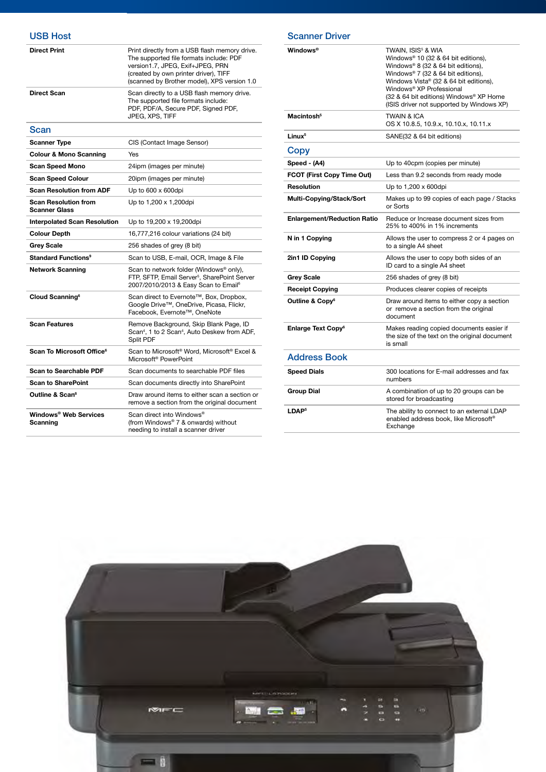#### USB Host

| <b>Direct Print</b>                                 | Print directly from a USB flash memory drive.<br>The supported file formats include: PDF<br>version1.7, JPEG, Exif+JPEG, PRN<br>(created by own printer driver), TIFF<br>(scanned by Brother model), XPS version 1.0 |
|-----------------------------------------------------|----------------------------------------------------------------------------------------------------------------------------------------------------------------------------------------------------------------------|
| Direct Scan                                         | Scan directly to a USB flash memory drive.<br>The supported file formats include:<br>PDF, PDF/A, Secure PDF, Signed PDF,<br>JPEG, XPS, TIFF                                                                          |
| Scan                                                |                                                                                                                                                                                                                      |
| Scanner Type                                        | CIS (Contact Image Sensor)                                                                                                                                                                                           |
| <b>Colour &amp; Mono Scanning</b>                   | Yes                                                                                                                                                                                                                  |
| Scan Speed Mono                                     | 24ipm (images per minute)                                                                                                                                                                                            |
| <b>Scan Speed Colour</b>                            | 20ipm (images per minute)                                                                                                                                                                                            |
| <b>Scan Resolution from ADF</b>                     | Up to $600 \times 600$ dpi                                                                                                                                                                                           |
| <b>Scan Resolution from</b><br><b>Scanner Glass</b> | Up to 1,200 x 1,200dpi                                                                                                                                                                                               |
| <b>Interpolated Scan Resolution</b>                 | Up to 19,200 x 19,200dpi                                                                                                                                                                                             |
| <b>Colour Depth</b>                                 | 16,777,216 colour variations (24 bit)                                                                                                                                                                                |
| <b>Grey Scale</b>                                   | 256 shades of grey (8 bit)                                                                                                                                                                                           |
| Standard Functions <sup>9</sup>                     | Scan to USB, E-mail, OCR, Image & File                                                                                                                                                                               |
| <b>Network Scanning</b>                             | Scan to network folder (Windows® only),<br>FTP, SFTP, Email Server <sup>5</sup> , SharePoint Server<br>2007/2010/2013 & Easy Scan to Email <sup>6</sup>                                                              |
| Cloud Scanning <sup>6</sup>                         | Scan direct to Evernote™, Box, Dropbox,<br>Google Drive™, OneDrive, Picasa, Flickr,<br>Facebook, Evernote™, OneNote                                                                                                  |
| <b>Scan Features</b>                                | Remove Background, Skip Blank Page, ID<br>Scan <sup>4</sup> , 1 to 2 Scan <sup>4</sup> , Auto Deskew from ADF,<br>Split PDF                                                                                          |
| Scan To Microsoft Office <sup>6</sup>               | Scan to Microsoft <sup>®</sup> Word, Microsoft <sup>®</sup> Excel &<br>Microsoft <sup>®</sup> PowerPoint                                                                                                             |
| <b>Scan to Searchable PDF</b>                       | Scan documents to searchable PDF files                                                                                                                                                                               |
| <b>Scan to SharePoint</b>                           | Scan documents directly into SharePoint                                                                                                                                                                              |
| Outline & Scan <sup>6</sup>                         | Draw around items to either scan a section or<br>remove a section from the original document                                                                                                                         |
| Windows® Web Services<br>Scanning                   | Scan direct into Windows <sup>®</sup><br>(from Windows® 7 & onwards) without<br>needing to install a scanner driver                                                                                                  |

| Windows®                             | TWAIN, ISIS <sup>5</sup> & WIA<br>Windows <sup>®</sup> 10 (32 & 64 bit editions),<br>Windows® 8 (32 & 64 bit editions),<br>Windows® 7 (32 & 64 bit editions),<br>Windows Vista® (32 & 64 bit editions),<br>Windows <sup>®</sup> XP Professional<br>(32 & 64 bit editions) Windows® XP Home<br>(ISIS driver not supported by Windows XP) |
|--------------------------------------|-----------------------------------------------------------------------------------------------------------------------------------------------------------------------------------------------------------------------------------------------------------------------------------------------------------------------------------------|
| Macintosh <sup>5</sup>               | <b>TWAIN &amp; ICA</b><br>OS X 10.8.5, 10.9.x, 10.10.x, 10.11.x                                                                                                                                                                                                                                                                         |
| Linux <sup>5</sup>                   | SANE(32 & 64 bit editions)                                                                                                                                                                                                                                                                                                              |
| Copy                                 |                                                                                                                                                                                                                                                                                                                                         |
| Speed - (A4)                         | Up to 40cpm (copies per minute)                                                                                                                                                                                                                                                                                                         |
| <b>FCOT (First Copy Time Out)</b>    | Less than 9.2 seconds from ready mode                                                                                                                                                                                                                                                                                                   |
| Resolution                           | Up to 1,200 x 600dpi                                                                                                                                                                                                                                                                                                                    |
| Multi-Copying/Stack/Sort             | Makes up to 99 copies of each page / Stacks<br>or Sorts                                                                                                                                                                                                                                                                                 |
| <b>Enlargement/Reduction Ratio</b>   | Reduce or Increase document sizes from<br>25% to 400% in 1% increments                                                                                                                                                                                                                                                                  |
| N in 1 Copying                       | Allows the user to compress 2 or 4 pages on<br>to a single A4 sheet                                                                                                                                                                                                                                                                     |
| 2in1 ID Copying                      | Allows the user to copy both sides of an<br>ID card to a single A4 sheet                                                                                                                                                                                                                                                                |
| Grey Scale                           | 256 shades of grey (8 bit)                                                                                                                                                                                                                                                                                                              |
| <b>Receipt Copying</b>               | Produces clearer copies of receipts                                                                                                                                                                                                                                                                                                     |
| Outline & Copy <sup>6</sup>          | Draw around items to either copy a section<br>or remove a section from the original<br>document                                                                                                                                                                                                                                         |
| <b>Enlarge Text Copy<sup>6</sup></b> | Makes reading copied documents easier if<br>the size of the text on the original document<br>is small                                                                                                                                                                                                                                   |
| <b>Address Book</b>                  |                                                                                                                                                                                                                                                                                                                                         |
| <b>Speed Dials</b>                   | 300 locations for E-mail addresses and fax<br>numbers                                                                                                                                                                                                                                                                                   |
| <b>Group Dial</b>                    | A combination of up to 20 groups can be<br>stored for broadcasting                                                                                                                                                                                                                                                                      |
| LDAP <sup>5</sup>                    | The ability to connect to an external LDAP<br>enabled address book, like Microsoft®<br>Exchange                                                                                                                                                                                                                                         |

Scanner Driver

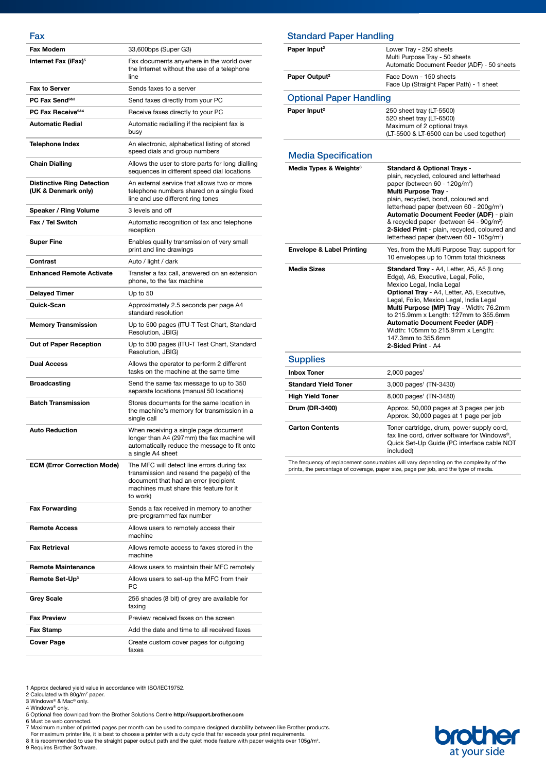#### Fax

| <b>Fax Modem</b>                                         | 33,600bps (Super G3)                                                                                                                                                                     |
|----------------------------------------------------------|------------------------------------------------------------------------------------------------------------------------------------------------------------------------------------------|
| Internet Fax (iFax) <sup>5</sup>                         | Fax documents anywhere in the world over<br>the Internet without the use of a telephone<br>line                                                                                          |
| <b>Fax to Server</b>                                     | Sends faxes to a server                                                                                                                                                                  |
| PC Fax Send <sup>9&amp;3</sup>                           | Send faxes directly from your PC                                                                                                                                                         |
| PC Fax Receive <sup>9&amp;4</sup>                        | Receive faxes directly to your PC                                                                                                                                                        |
| <b>Automatic Redial</b>                                  | Automatic redialling if the recipient fax is<br>busy                                                                                                                                     |
| <b>Telephone Index</b>                                   | An electronic, alphabetical listing of stored<br>speed dials and group numbers                                                                                                           |
| <b>Chain Dialling</b>                                    | Allows the user to store parts for long dialling<br>sequences in different speed dial locations                                                                                          |
| <b>Distinctive Ring Detection</b><br>(UK & Denmark only) | An external service that allows two or more<br>telephone numbers shared on a single fixed<br>line and use different ring tones                                                           |
| Speaker / Ring Volume                                    | 3 levels and off                                                                                                                                                                         |
| Fax / Tel Switch                                         | Automatic recognition of fax and telephone<br>reception                                                                                                                                  |
| <b>Super Fine</b>                                        | Enables quality transmission of very small<br>print and line drawings                                                                                                                    |
| Contrast                                                 | Auto / light / dark                                                                                                                                                                      |
| <b>Enhanced Remote Activate</b>                          | Transfer a fax call, answered on an extension<br>phone, to the fax machine                                                                                                               |
| <b>Delayed Timer</b>                                     | Up to 50                                                                                                                                                                                 |
| Quick-Scan                                               | Approximately 2.5 seconds per page A4<br>standard resolution                                                                                                                             |
| <b>Memory Transmission</b>                               | Up to 500 pages (ITU-T Test Chart, Standard<br>Resolution, JBIG)                                                                                                                         |
| Out of Paper Reception                                   | Up to 500 pages (ITU-T Test Chart, Standard<br>Resolution, JBIG)                                                                                                                         |
| <b>Dual Access</b>                                       | Allows the operator to perform 2 different<br>tasks on the machine at the same time                                                                                                      |
| <b>Broadcasting</b>                                      | Send the same fax message to up to 350<br>separate locations (manual 50 locations)                                                                                                       |
| <b>Batch Transmission</b>                                | Stores documents for the same location in<br>the machine's memory for transmission in a<br>single call                                                                                   |
| <b>Auto Reduction</b>                                    | When receiving a single page document<br>longer than A4 (297mm) the fax machine will<br>automatically reduce the message to fit onto<br>a single A4 sheet                                |
| <b>ECM (Error Correction Mode)</b>                       | The MFC will detect line errors during fax<br>transmission and resend the page(s) of the<br>document that had an error (recipient<br>machines must share this feature for it<br>to work) |
| <b>Fax Forwarding</b>                                    | Sends a fax received in memory to another<br>pre-programmed fax number                                                                                                                   |
| <b>Remote Access</b>                                     | Allows users to remotely access their<br>machine                                                                                                                                         |
| <b>Fax Retrieval</b>                                     | Allows remote access to faxes stored in the<br>machine                                                                                                                                   |
| <b>Remote Maintenance</b>                                | Allows users to maintain their MFC remotely                                                                                                                                              |
| Remote Set-Up <sup>3</sup>                               | Allows users to set-up the MFC from their<br>РC                                                                                                                                          |
| Grey Scale                                               | 256 shades (8 bit) of grey are available for<br>faxing                                                                                                                                   |
| <b>Fax Preview</b>                                       | Preview received faxes on the screen                                                                                                                                                     |
| Fax Stamp                                                | Add the date and time to all received faxes                                                                                                                                              |
| Cover Page                                               | Create custom cover pages for outgoing                                                                                                                                                   |

| <b>Standard Paper Handling</b>       |                                                                                                                                                                                                                                                                                                                                                                                                                                                                          |
|--------------------------------------|--------------------------------------------------------------------------------------------------------------------------------------------------------------------------------------------------------------------------------------------------------------------------------------------------------------------------------------------------------------------------------------------------------------------------------------------------------------------------|
| Paper Input <sup>2</sup>             | Lower Tray - 250 sheets<br>Multi Purpose Tray - 50 sheets<br>Automatic Document Feeder (ADF) - 50 sheets                                                                                                                                                                                                                                                                                                                                                                 |
| Paper Output <sup>2</sup>            | Face Down - 150 sheets<br>Face Up (Straight Paper Path) - 1 sheet                                                                                                                                                                                                                                                                                                                                                                                                        |
| <b>Optional Paper Handling</b>       |                                                                                                                                                                                                                                                                                                                                                                                                                                                                          |
| Paper Input <sup>2</sup>             | 250 sheet tray (LT-5500)<br>520 sheet tray (LT-6500)<br>Maximum of 2 optional trays<br>(LT-5500 & LT-6500 can be used together)                                                                                                                                                                                                                                                                                                                                          |
| <b>Media Specification</b>           |                                                                                                                                                                                                                                                                                                                                                                                                                                                                          |
| Media Types & Weights <sup>8</sup>   | <b>Standard &amp; Optional Trays -</b><br>plain, recycled, coloured and letterhead<br>paper (between 60 - 120q/m <sup>2</sup> )<br><b>Multi Purpose Tray -</b><br>plain, recycled, bond, coloured and<br>letterhead paper (between 60 - 200g/m <sup>2</sup> )<br>Automatic Document Feeder (ADF) - plain<br>& recycled paper (between 64 - 90g/m <sup>2</sup> )<br>2-Sided Print - plain, recycled, coloured and<br>letterhead paper (between 60 - 105q/m <sup>2</sup> ) |
| <b>Envelope &amp; Label Printing</b> | Yes, from the Multi Purpose Tray: support for<br>10 envelopes up to 10mm total thickness                                                                                                                                                                                                                                                                                                                                                                                 |
| <b>Media Sizes</b>                   | Standard Tray - A4, Letter, A5, A5 (Long<br>Edge), A6, Executive, Legal, Folio,<br>Mexico Legal, India Legal<br>Optional Tray - A4, Letter, A5, Executive,<br>Legal, Folio, Mexico Legal, India Legal<br>Multi Purpose (MP) Tray - Width: 76.2mm<br>to 215.9mm x Length: 127mm to 355.6mm<br><b>Automatic Document Feeder (ADF) -</b><br>Width: 105mm to 215.9mm x Length:<br>147.3mm to 355.6mm<br>2-Sided Print - A4                                                   |
| <b>Supplies</b>                      |                                                                                                                                                                                                                                                                                                                                                                                                                                                                          |
| <b>Inbox Toner</b>                   | $2,000$ pages <sup>1</sup>                                                                                                                                                                                                                                                                                                                                                                                                                                               |
| <b>Standard Yield Toner</b>          | 3,000 pages <sup>1</sup> (TN-3430)                                                                                                                                                                                                                                                                                                                                                                                                                                       |
| <b>High Yield Toner</b>              | 8,000 pages <sup>1</sup> (TN-3480)                                                                                                                                                                                                                                                                                                                                                                                                                                       |
| Drum (DR-3400)                       | Approx. 50,000 pages at 3 pages per job                                                                                                                                                                                                                                                                                                                                                                                                                                  |

Approx. 30,000 pages at 1 page per job **Carton Contents** Toner cartridge, drum, power supply cord, fax line cord, driver software for Windows®, Quick Set-Up Guide (PC interface cable NOT included)

The frequency of replacement consumables will vary depending on the complexity of the prints, the percentage of coverage, paper size, page per job, and the type of media.

1 Approx declared yield value in accordance with ISO/IEC19752.<br>2 Calculated with 80g/m° paper.<br>3 Windows® & Mac® only.<br>5 Optional free download from the Brother Solutions Centre **http://support.brother.com**<br>5 Optional fre

faxes

7 Maximum number of printed pages per month can be used to compare designed durability between like Brother products.<br>For maximum printer life, it is best to choose a printer with a duty cycle that far exceeds your print r